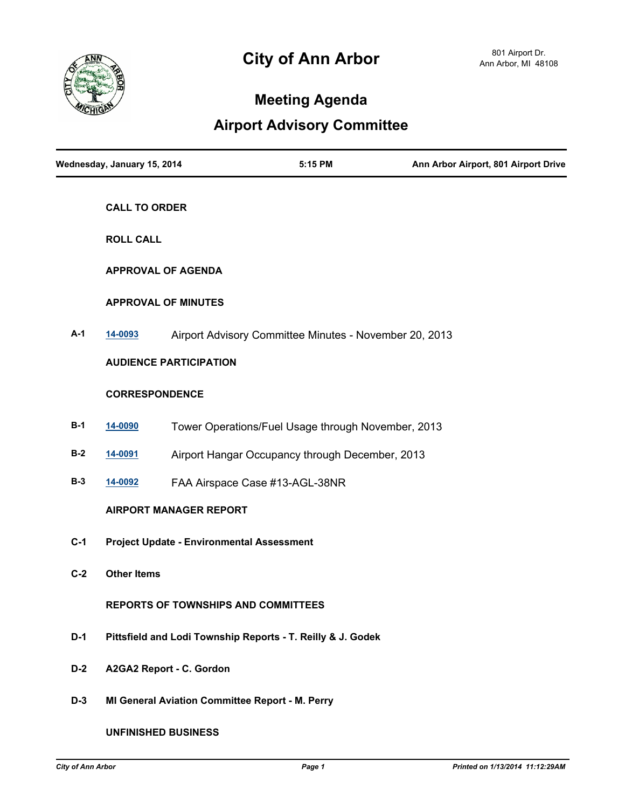

# **Meeting Agenda**

## **Airport Advisory Committee**

|       | Wednesday, January 15, 2014                                 |                                                        | 5:15 PM | Ann Arbor Airport, 801 Airport Drive |
|-------|-------------------------------------------------------------|--------------------------------------------------------|---------|--------------------------------------|
|       | <b>CALL TO ORDER</b>                                        |                                                        |         |                                      |
|       | <b>ROLL CALL</b>                                            |                                                        |         |                                      |
|       | <b>APPROVAL OF AGENDA</b>                                   |                                                        |         |                                      |
|       | <b>APPROVAL OF MINUTES</b>                                  |                                                        |         |                                      |
| $A-1$ | 14-0093                                                     | Airport Advisory Committee Minutes - November 20, 2013 |         |                                      |
|       | <b>AUDIENCE PARTICIPATION</b>                               |                                                        |         |                                      |
|       | <b>CORRESPONDENCE</b>                                       |                                                        |         |                                      |
| $B-1$ | 14-0090                                                     | Tower Operations/Fuel Usage through November, 2013     |         |                                      |
| $B-2$ | 14-0091                                                     | Airport Hangar Occupancy through December, 2013        |         |                                      |
| $B-3$ | 14-0092                                                     | FAA Airspace Case #13-AGL-38NR                         |         |                                      |
|       | <b>AIRPORT MANAGER REPORT</b>                               |                                                        |         |                                      |
| $C-1$ | <b>Project Update - Environmental Assessment</b>            |                                                        |         |                                      |
| $C-2$ | <b>Other Items</b>                                          |                                                        |         |                                      |
|       | REPORTS OF TOWNSHIPS AND COMMITTEES                         |                                                        |         |                                      |
| $D-1$ | Pittsfield and Lodi Township Reports - T. Reilly & J. Godek |                                                        |         |                                      |
| $D-2$ | A2GA2 Report - C. Gordon                                    |                                                        |         |                                      |
| $D-3$ | MI General Aviation Committee Report - M. Perry             |                                                        |         |                                      |

**UNFINISHED BUSINESS**